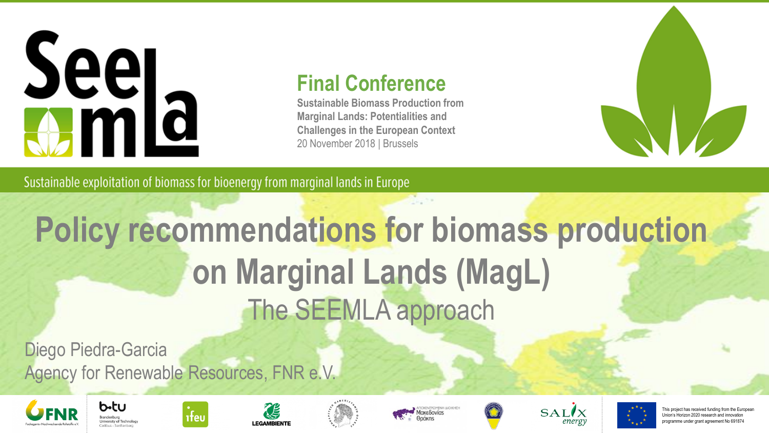#### **Final Conference**

**Sustainable Biomass Production from Marginal Lands: Potentialities and Challenges in the European Context** 20 November 2018 | Brussels



Sustainable exploitation of biomass for bioenergy from marginal lands in Europe

### **Policy recommendations for biomass production on Marginal Lands (MagL)** The SEEMLA approach

**Project coordinator Partners** Diego Piedra-Garcia Agency for Renewable Resources, FNR e.V.

ifeu





 $b$ -tu













This project has received funding from the Europea Union's Horizon 2020 research and innovation programme under grant agreement No 691874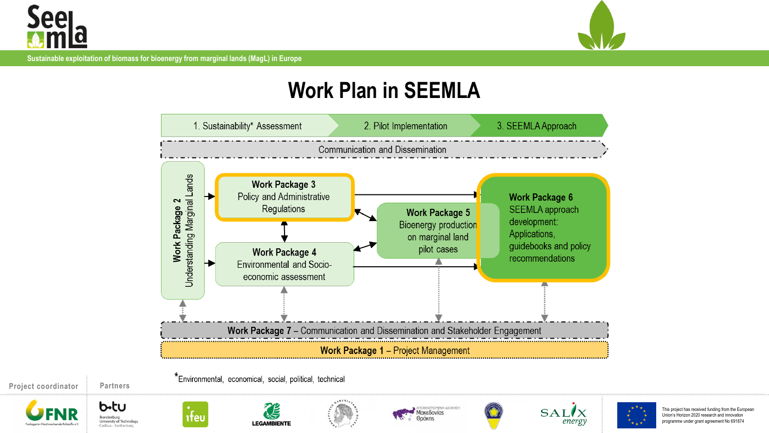



#### **Work Plan in SEEMLA**



This project has received funding from the European Union's Horizon 2020 research and innovati programme under grant agreement No 691874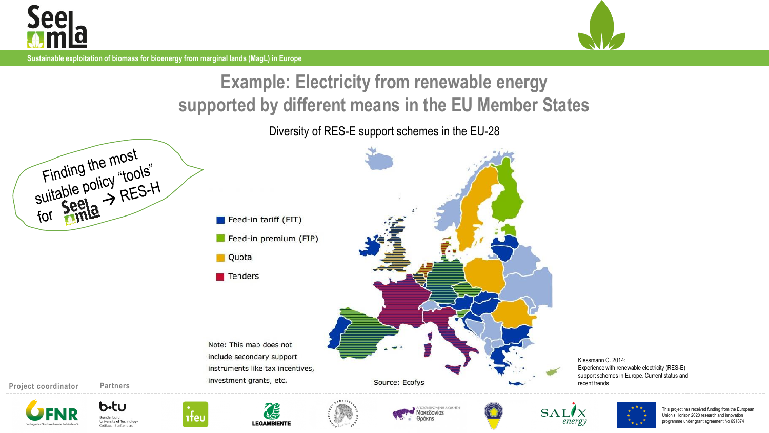



#### **Example: Electricity from renewable energy supported by different means in the EU Member States**

Diversity of RES-E support schemes in the EU-28

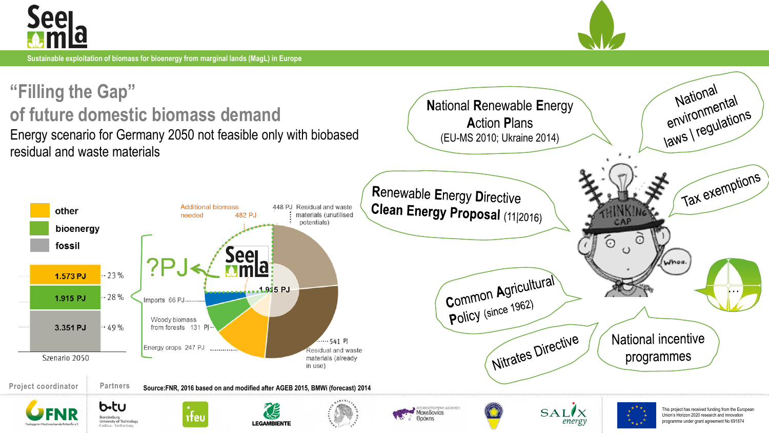



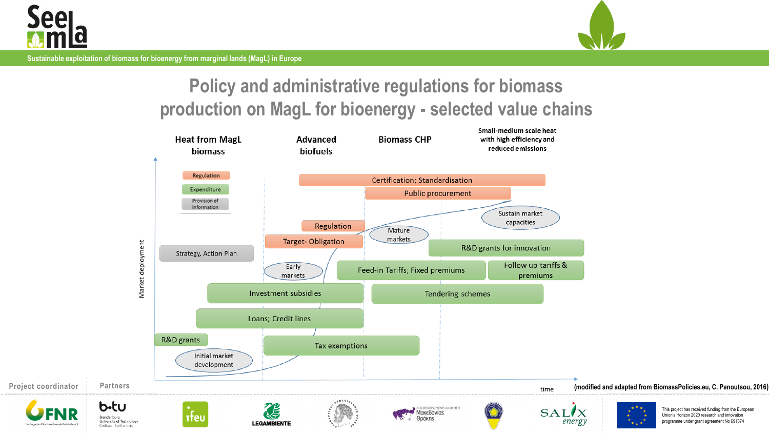



#### **Policy and administrative regulations for biomass production on MagL for bioenergy - selected value chains**

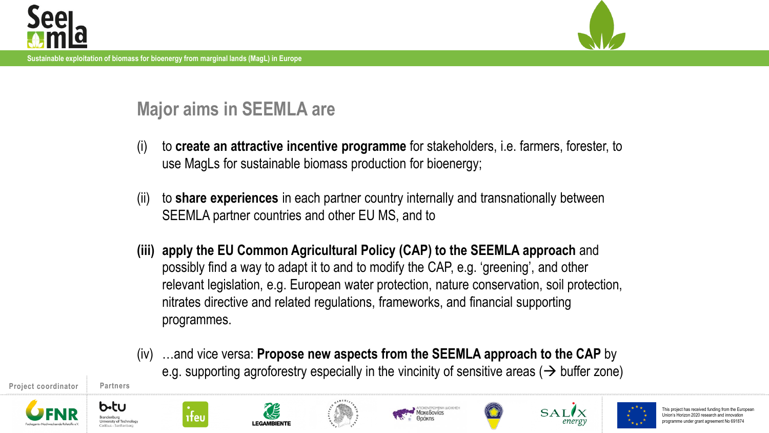



#### **Major aims in SEEMLA are**

- (i) to **create an attractive incentive programme** for stakeholders, i.e. farmers, forester, to use MagLs for sustainable biomass production for bioenergy;
- (ii) to **share experiences** in each partner country internally and transnationally between SEEMLA partner countries and other EU MS, and to
- **(iii) apply the EU Common Agricultural Policy (CAP) to the SEEMLA approach** and possibly find a way to adapt it to and to modify the CAP, e.g. 'greening', and other relevant legislation, e.g. European water protection, nature conservation, soil protection, nitrates directive and related regulations, frameworks, and financial supporting programmes.
- (iv) …and vice versa: **Propose new aspects from the SEEMLA approach to the CAP** by e.g. supporting agroforestry especially in the vincinity of sensitive areas ( $\rightarrow$  buffer zone)

**Project coordinator Partners** 









**EGAMBIENTI** 









This project has received funding from the Union's Horizon 2020 research and innovation programme under grant agreement No 691874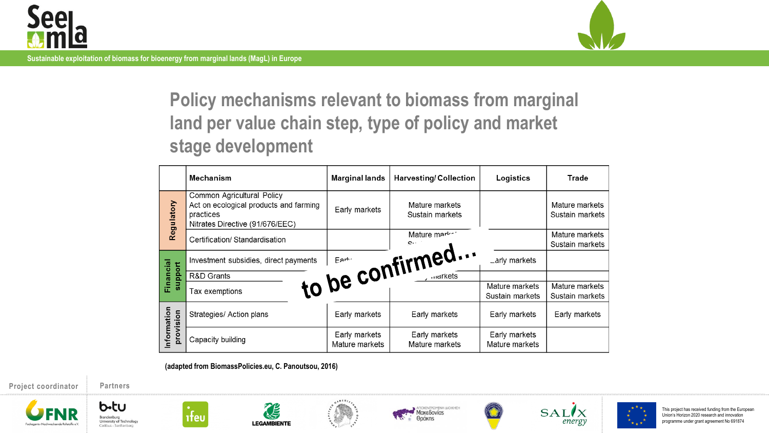



**Policy mechanisms relevant to biomass from marginal land per value chain step, type of policy and market stage development**

|                          | <b>Mechanism</b>                                                                                                     | <b>Marginal lands</b>           | <b>Harvesting/Collection</b>      | Logistics                         | Trade                             |
|--------------------------|----------------------------------------------------------------------------------------------------------------------|---------------------------------|-----------------------------------|-----------------------------------|-----------------------------------|
| Regulatory               | Common Agricultural Policy<br>Act on ecological products and farming<br>practices<br>Nitrates Directive (91/676/EEC) | Early markets                   | Mature markets<br>Sustain markets |                                   | Mature markets<br>Sustain markets |
|                          | Certification/ Standardisation                                                                                       |                                 | Mature market                     |                                   | Mature markets<br>Sustain markets |
| Financial<br>support     | Investment subsidies, direct payments                                                                                |                                 |                                   | _arly markets                     |                                   |
|                          | R&D Grants                                                                                                           |                                 |                                   |                                   |                                   |
|                          | Tax exemptions                                                                                                       |                                 | to be confirmed                   | Mature markets<br>Sustain markets | Mature markets<br>Sustain markets |
| Information<br>provision | Strategies/ Action plans                                                                                             | Early markets                   | Early markets                     | Early markets                     | Early markets                     |
|                          | Capacity building                                                                                                    | Early markets<br>Mature markets | Early markets<br>Mature markets   | Early markets<br>Mature markets   |                                   |

**(adapted from BiomassPolicies.eu, C. Panoutsou, 2016)**

**Project coordinator Partners**







ifeu



**CE** 









This project has received funding from the European Union's Horizon 2020 research and innovation programme under grant agreement No 691874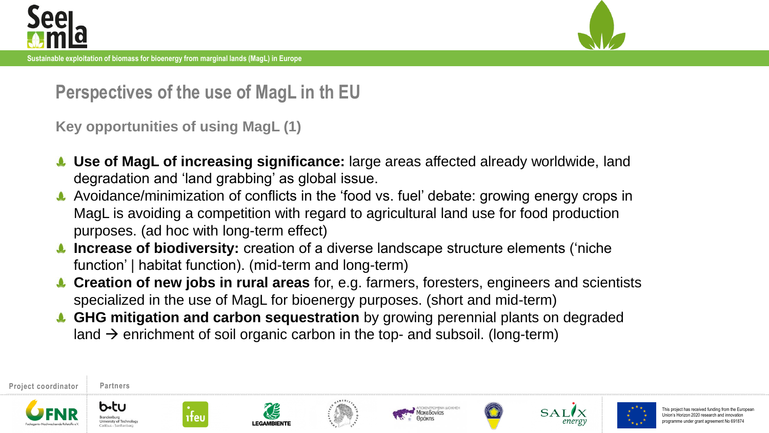



**Perspectives of the use of MagL in th EU**

**Key opportunities of using MagL (1)**

- **Use of MagL of increasing significance:** large areas affected already worldwide, land degradation and 'land grabbing' as global issue.
- Avoidance/minimization of conflicts in the 'food vs. fuel' debate: growing energy crops in MagL is avoiding a competition with regard to agricultural land use for food production purposes. (ad hoc with long-term effect)
- **Increase of biodiversity:** creation of a diverse landscape structure elements ('niche function' | habitat function). (mid-term and long-term)
- **Creation of new jobs in rural areas** for, e.g. farmers, foresters, engineers and scientists specialized in the use of MagL for bioenergy purposes. (short and mid-term)
- **GHG mitigation and carbon sequestration** by growing perennial plants on degraded land  $\rightarrow$  enrichment of soil organic carbon in the top- and subsoil. (long-term)











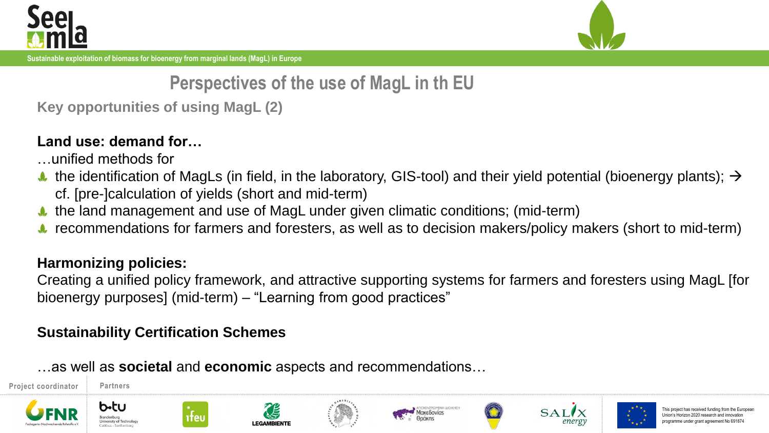



**Perspectives of the use of MagL in th EU**

**Key opportunities of using MagL (2)**

#### **Land use: demand for…**

- …unified methods for
- the identification of MagLs (in field, in the laboratory, GIS-tool) and their yield potential (bioenergy plants);  $\rightarrow$ cf. [pre-]calculation of yields (short and mid-term)
- the land management and use of MagL under given climatic conditions; (mid-term)
- recommendations for farmers and foresters, as well as to decision makers/policy makers (short to mid-term)

#### **Harmonizing policies:**

b•tu

Creating a unified policy framework, and attractive supporting systems for farmers and foresters using MagL [for bioenergy purposes] (mid-term) – "Learning from good practices"

#### **Sustainability Certification Schemes**

…as well as **societal** and **economic** aspects and recommendations…

**Project coordinator Partners**













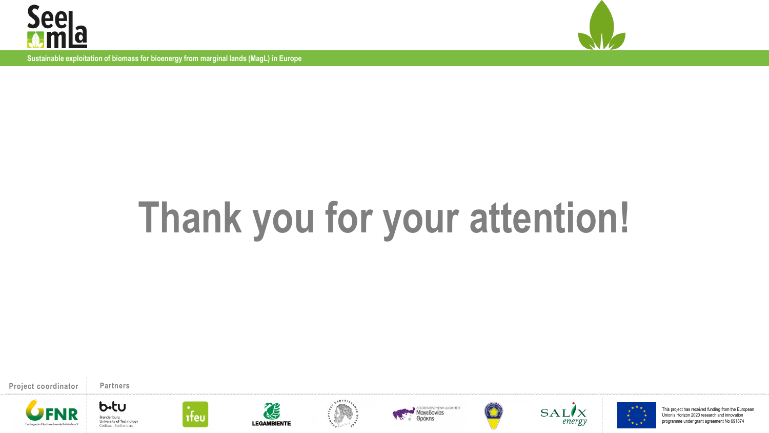



## **Thank you for your attention!**

**Project coordinator Partners**



b-tu

University of Technology

Cottbus - Senftenberg

Brandenburg















This project has received funding from the European Union's Horizon 2020 research and innovation programme under grant agreement No 691874